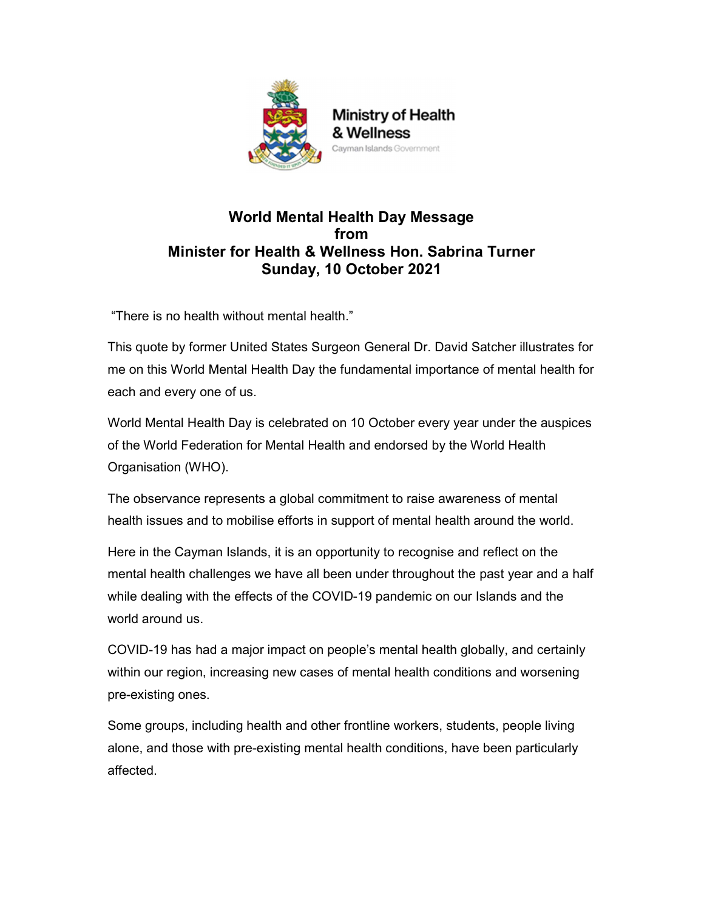

## World Mental Health Day Message from Minister for Health & Wellness Hon. Sabrina Turner Sunday, 10 October 2021

"There is no health without mental health."

This quote by former United States Surgeon General Dr. David Satcher illustrates for me on this World Mental Health Day the fundamental importance of mental health for each and every one of us.

World Mental Health Day is celebrated on 10 October every year under the auspices of the World Federation for Mental Health and endorsed by the World Health Organisation (WHO).

The observance represents a global commitment to raise awareness of mental health issues and to mobilise efforts in support of mental health around the world.

Here in the Cayman Islands, it is an opportunity to recognise and reflect on the mental health challenges we have all been under throughout the past year and a half while dealing with the effects of the COVID-19 pandemic on our Islands and the world around us.

COVID-19 has had a major impact on people's mental health globally, and certainly within our region, increasing new cases of mental health conditions and worsening pre-existing ones.

Some groups, including health and other frontline workers, students, people living alone, and those with pre-existing mental health conditions, have been particularly affected.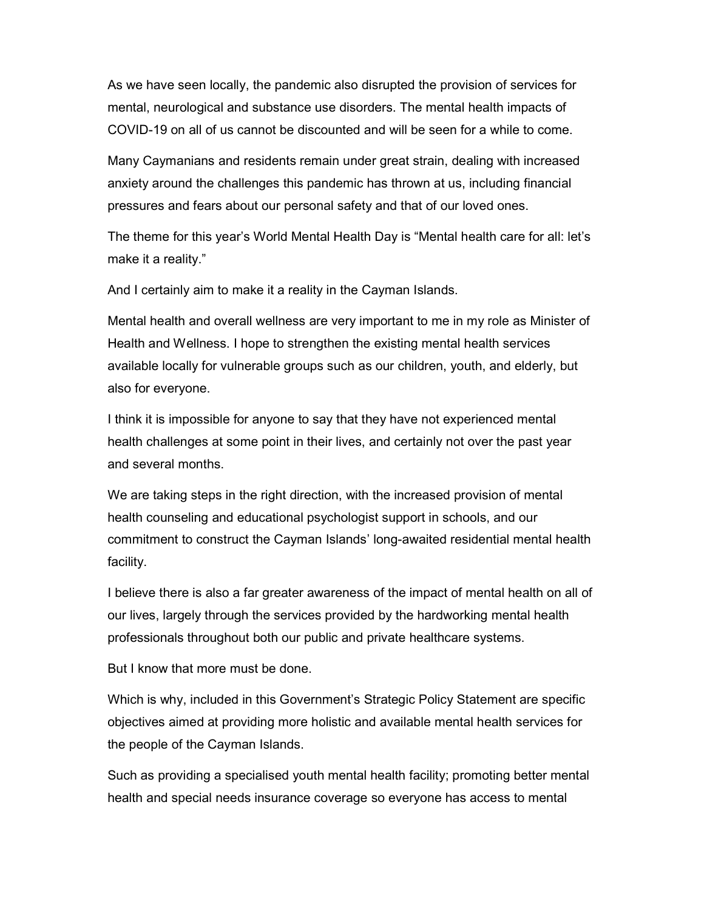As we have seen locally, the pandemic also disrupted the provision of services for mental, neurological and substance use disorders. The mental health impacts of COVID-19 on all of us cannot be discounted and will be seen for a while to come.

Many Caymanians and residents remain under great strain, dealing with increased anxiety around the challenges this pandemic has thrown at us, including financial pressures and fears about our personal safety and that of our loved ones.

The theme for this year's World Mental Health Day is "Mental health care for all: let's make it a reality."

And I certainly aim to make it a reality in the Cayman Islands.

Mental health and overall wellness are very important to me in my role as Minister of Health and Wellness. I hope to strengthen the existing mental health services available locally for vulnerable groups such as our children, youth, and elderly, but also for everyone.

I think it is impossible for anyone to say that they have not experienced mental health challenges at some point in their lives, and certainly not over the past year and several months.

We are taking steps in the right direction, with the increased provision of mental health counseling and educational psychologist support in schools, and our commitment to construct the Cayman Islands' long-awaited residential mental health facility.

I believe there is also a far greater awareness of the impact of mental health on all of our lives, largely through the services provided by the hardworking mental health professionals throughout both our public and private healthcare systems.

But I know that more must be done.

Which is why, included in this Government's Strategic Policy Statement are specific objectives aimed at providing more holistic and available mental health services for the people of the Cayman Islands.

Such as providing a specialised youth mental health facility; promoting better mental health and special needs insurance coverage so everyone has access to mental